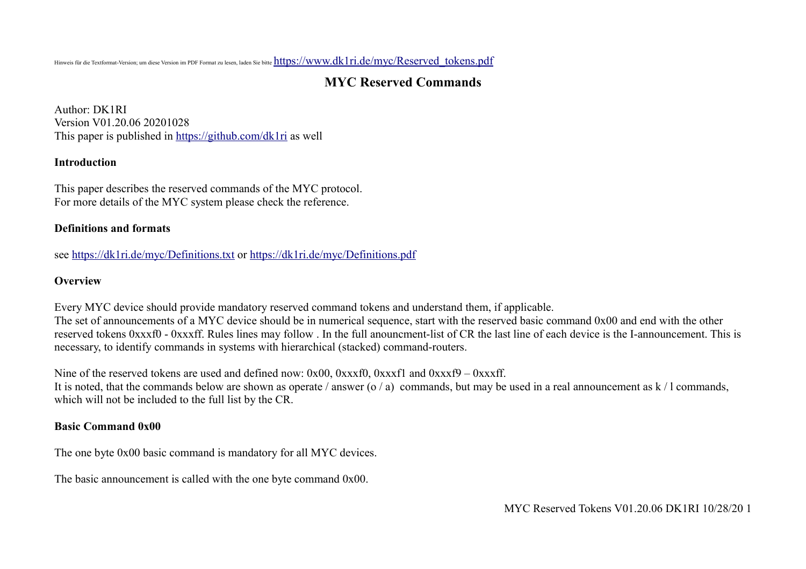Hinweis für die Textformat-Version; um diese Version im PDF Format zu lesen, laden Sie bitte [https://www.dk1ri.de/myc/Reserved\\_tokens.pdf](https://www.dk1ri.de/myc/Reserved_tokens.pdf)

# **MYC Reserved Commands**

Author: DK1RI Version V01.20.06 20201028 This paper is published in<https://github.com/dk1ri> as well

#### **Introduction**

This paper describes the reserved commands of the MYC protocol. For more details of the MYC system please check the reference.

#### **Definitions and formats**

see<https://dk1ri.de/myc/Definitions.txt>or<https://dk1ri.de/myc/Definitions.pdf>

#### **Overview**

Every MYC device should provide mandatory reserved command tokens and understand them, if applicable. The set of announcements of a MYC device should be in numerical sequence, start with the reserved basic command 0x00 and end with the other reserved tokens 0xxxf0 - 0xxxff. Rules lines may follow . In the full anouncment-list of CR the last line of each device is the I-announcement. This is necessary, to identify commands in systems with hierarchical (stacked) command-routers.

Nine of the reserved tokens are used and defined now:  $0x00$ ,  $0xxxf0$ ,  $0xxxf1$  and  $0xxxf9 - 0xxxf1$ . It is noted, that the commands below are shown as operate / answer (o / a) commands, but may be used in a real announcement as  $k / 1$  commands, which will not be included to the full list by the CR.

### **Basic Command 0x00**

The one byte 0x00 basic command is mandatory for all MYC devices.

The basic announcement is called with the one byte command 0x00.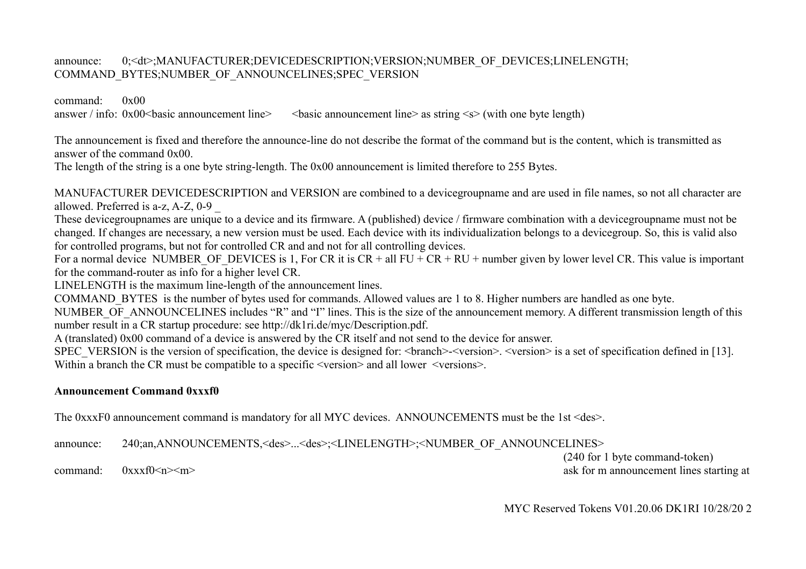#### announce: 0;<dt>;MANUFACTURER;DEVICEDESCRIPTION;VERSION;NUMBER\_OF\_DEVICES;LINELENGTH; COMMAND\_BYTES;NUMBER\_OF\_ANNOUNCELINES;SPEC\_VERSION

command: 0x00 answer / info:  $0x00$  shasic announcement line  $>$  shasic announcement line as string  $\leq s$  (with one byte length)

The announcement is fixed and therefore the announce-line do not describe the format of the command but is the content, which is transmitted as answer of the command 0x00.

The length of the string is a one byte string-length. The 0x00 announcement is limited therefore to 255 Bytes.

MANUFACTURER DEVICEDESCRIPTION and VERSION are combined to a devicegroupname and are used in file names, so not all character are allowed. Preferred is a-z, A-Z, 0-9 \_

These devicegroupnames are unique to a device and its firmware. A (published) device / firmware combination with a devicegroupname must not be changed. If changes are necessary, a new version must be used. Each device with its individualization belongs to a devicegroup. So, this is valid also for controlled programs, but not for controlled CR and and not for all controlling devices.

For a normal device NUMBER OF DEVICES is 1, For CR it is  $CR + all FU + CR + RU + number$  given by lower level CR. This value is important for the command-router as info for a higher level CR.

LINELENGTH is the maximum line-length of the announcement lines.

COMMAND\_BYTES is the number of bytes used for commands. Allowed values are 1 to 8. Higher numbers are handled as one byte.

NUMBER OF ANNOUNCELINES includes "R" and "I" lines. This is the size of the announcement memory. A different transmission length of this number result in a CR startup procedure: see http://dk1ri.de/myc/Description.pdf.

A (translated) 0x00 command of a device is answered by the CR itself and not send to the device for answer.

SPEC VERSION is the version of specification, the device is designed for:  $\langle V^* \rangle$   $\langle V^* \rangle$   $\langle V^* \rangle$  is a set of specification defined in [13]. Within a branch the CR must be compatible to a specific  $\leq$ version $\geq$  and all lower  $\leq$ versions $\geq$ .

#### **Announcement Command 0xxxf0**

The 0xxxF0 announcement command is mandatory for all MYC devices. ANNOUNCEMENTS must be the 1st <des>.

announce: 240;an,ANNOUNCEMENTS,<des>...<des>;<LINELENGTH>;<NUMBER\_OF\_ANNOUNCELINES>

(240 for 1 byte command-token) command:  $0xxxf0\le n\ge\frac{m}{2}$  ask for m announcement lines starting at

MYC Reserved Tokens V01.20.06 DK1RI 10/28/20 2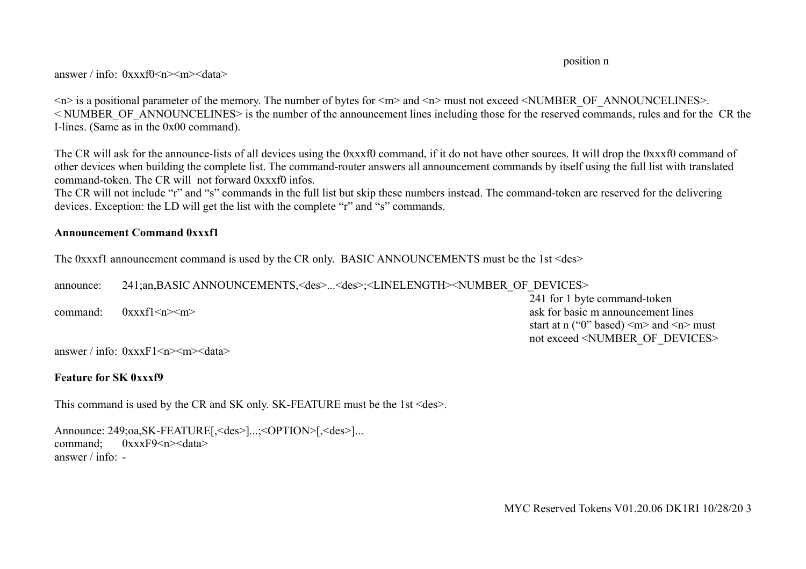position n

answer / info:  $0$ xxxf0  $\leq n \leq d$ ata>

 $\leq n$  is a positional parameter of the memory. The number of bytes for  $\leq m$  and  $\leq n$  must not exceed  $\leq$ NUMBER OF ANNOUNCELINES>. < NUMBER\_OF\_ANNOUNCELINES> is the number of the announcement lines including those for the reserved commands, rules and for the CR the I-lines. (Same as in the 0x00 command).

The CR will ask for the announce-lists of all devices using the 0xxxf0 command, if it do not have other sources. It will drop the 0xxxf0 command of other devices when building the complete list. The command-router answers all announcement commands by itself using the full list with translated command-token. The CR will not forward 0xxxf0 infos.

The CR will not include "r" and "s" commands in the full list but skip these numbers instead. The command-token are reserved for the delivering devices. Exception: the LD will get the list with the complete "r" and "s" commands.

#### **Announcement Command 0xxxf1**

The 0xxxf1 announcement command is used by the CR only. BASIC ANNOUNCEMENTS must be the 1st <des>

announce: 241;an,BASIC ANNOUNCEMENTS,<des>...<des>;<LINELENGTH><NUMBER\_OF\_DEVICES>

241 for 1 byte command-token command:  $0xxxf1\langle n \rangle$ start at n ("0" based)  $\leq m$  and  $\leq n$  must not exceed <NUMBER\_OF\_DEVICES>

answer / info:  $0$ xxxF1 <n $>$  m $>$  data $>$ 

## **Feature for SK 0xxxf9**

This command is used by the CR and SK only. SK-FEATURE must be the 1st <des>.

Announce: 249;oa,SK-FEATURE[,<des>]...;<OPTION>[,<des>]... command:  $0xxxF9\leq n$  >  $\leq$  data > answer  $/$  info:  $-$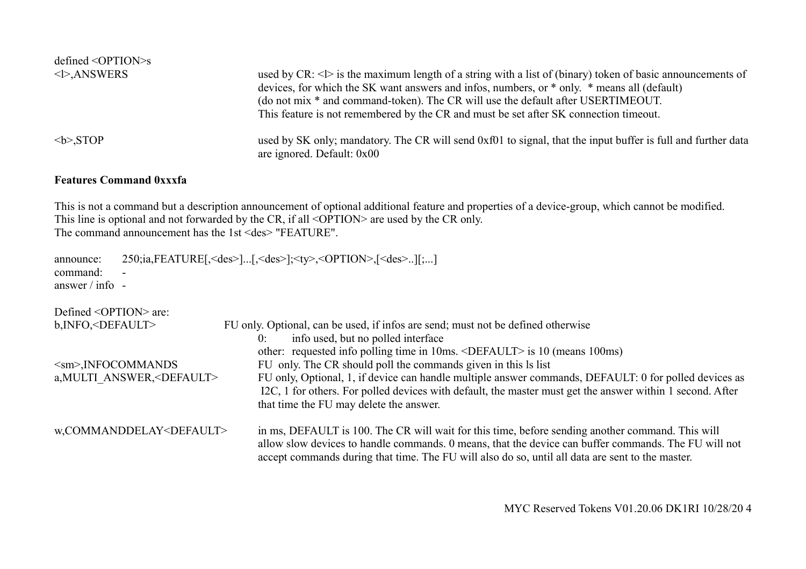| $defined \leq OPTION > s$ |                                                                                                                                            |
|---------------------------|--------------------------------------------------------------------------------------------------------------------------------------------|
| $\langle$ >, ANSWERS      | used by CR: $\langle \rangle$ is the maximum length of a string with a list of (binary) token of basic announcements of                    |
|                           | devices, for which the SK want answers and infos, numbers, or * only. * means all (default)                                                |
|                           | (do not mix * and command-token). The CR will use the default after USERTIMEOUT.                                                           |
|                           | This feature is not remembered by the CR and must be set after SK connection timeout.                                                      |
| $\langle b \rangle$ ,STOP | used by SK only; mandatory. The CR will send 0xf01 to signal, that the input buffer is full and further data<br>are ignored. Default: 0x00 |

#### **Features Command 0xxxfa**

This is not a command but a description announcement of optional additional feature and properties of a device-group, which cannot be modified. This line is optional and not forwarded by the CR, if all <OPTION> are used by the CR only. The command announcement has the 1st <des> "FEATURE".

| announce:           | $250$ ;ia,FEATURE[, <des>][,<des>];<ty>,<option>,[<des>][;]</des></option></ty></des></des> |
|---------------------|---------------------------------------------------------------------------------------------|
| command: -          |                                                                                             |
| answer $/$ info $-$ |                                                                                             |

| Defined $\langle$ OPTION $>$ are:    |                                                                                                                                                                                                                                                                                                              |  |
|--------------------------------------|--------------------------------------------------------------------------------------------------------------------------------------------------------------------------------------------------------------------------------------------------------------------------------------------------------------|--|
| b, INFO, <default></default>         | FU only. Optional, can be used, if infos are send; must not be defined otherwise                                                                                                                                                                                                                             |  |
|                                      | info used, but no polled interface<br>0:                                                                                                                                                                                                                                                                     |  |
|                                      | other: requested info polling time in 10ms. <default> is 10 (means 100ms)</default>                                                                                                                                                                                                                          |  |
| $\leq$ sm>, INFOCOMMANDS             | FU only. The CR should poll the commands given in this ls list                                                                                                                                                                                                                                               |  |
| a, MULTI ANSWER, <default></default> | FU only, Optional, 1, if device can handle multiple answer commands, DEFAULT: 0 for polled devices as<br>I2C, 1 for others. For polled devices with default, the master must get the answer within 1 second. After<br>that time the FU may delete the answer.                                                |  |
| w,COMMANDDELAY <default></default>   | in ms, DEFAULT is 100. The CR will wait for this time, before sending another command. This will<br>allow slow devices to handle commands. 0 means, that the device can buffer commands. The FU will not<br>accept commands during that time. The FU will also do so, until all data are sent to the master. |  |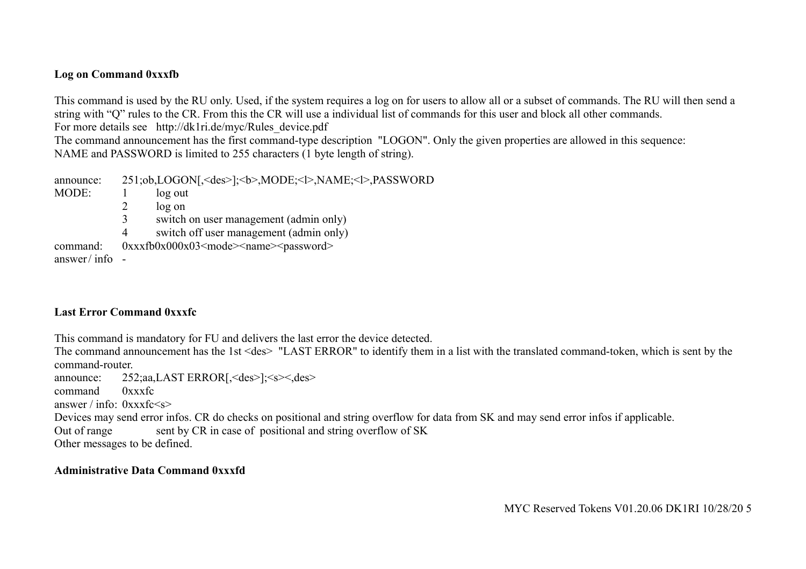## **Log on Command 0xxxfb**

This command is used by the RU only. Used, if the system requires a log on for users to allow all or a subset of commands. The RU will then send a string with "Q" rules to the CR. From this the CR will use a individual list of commands for this user and block all other commands. For more details see http://dk1ri.de/myc/Rules device.pdf

The command announcement has the first command-type description "LOGON". Only the given properties are allowed in this sequence: NAME and PASSWORD is limited to 255 characters (1 byte length of string).

announce: 251;ob,LOGON[,<des>];<br/>>b>,MODE;<l>,NAME;<l>,PASSWORD MODE: 1 log out 2 log on 3 switch on user management (admin only) 4 switch off user management (admin only) command:  $0xxxfb0x000x03 \leq mode \leq name \leq password$ answer/ $\int$ info -

### **Last Error Command 0xxxfc**

This command is mandatory for FU and delivers the last error the device detected.

The command announcement has the 1st <des> "LAST ERROR" to identify them in a list with the translated command-token, which is sent by the command-router.

announce: 252;aa,LAST ERROR[,<des>];<s><,des>

command 0xxxfc

answer / info:  $0$ xxxfc $\leq s$ >

Devices may send error infos. CR do checks on positional and string overflow for data from SK and may send error infos if applicable.

Out of range sent by CR in case of positional and string overflow of SK

Other messages to be defined.

### **Administrative Data Command 0xxxfd**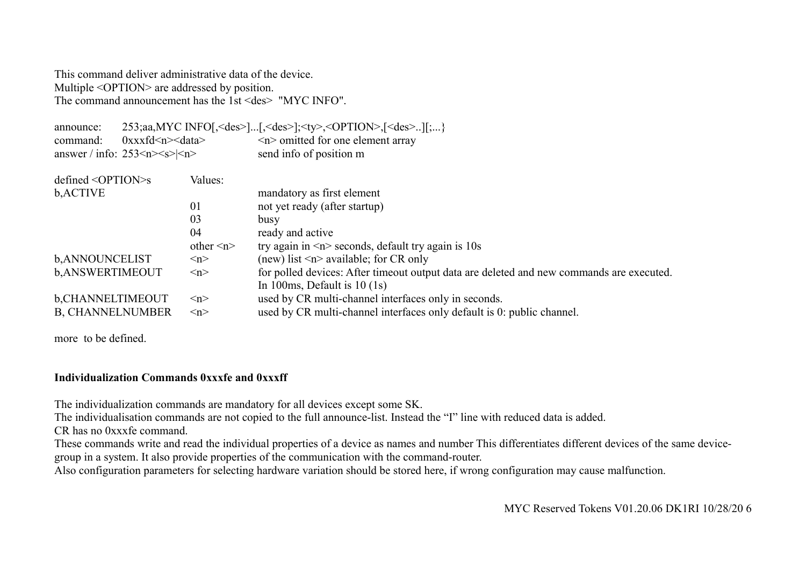This command deliver administrative data of the device. Multiple <OPTION> are addressed by position. The command announcement has the 1st <des> "MYC INFO".

| announce:<br>$0$ xxxfd $\leq n \leq$ data><br>command:<br>answer / info: $253\le n \le s \le n$ |  |                     | 253;aa, MYC INFO[, <des>][,<des>];<ty>,<option>,[<des>][;}<br/><math>\leq n</math> omitted for one element array<br/>send info of position m</des></option></ty></des></des> |  |
|-------------------------------------------------------------------------------------------------|--|---------------------|------------------------------------------------------------------------------------------------------------------------------------------------------------------------------|--|
| $defined <$ $OPTION >S$                                                                         |  | Values:             |                                                                                                                                                                              |  |
| b, ACTIVE                                                                                       |  |                     | mandatory as first element                                                                                                                                                   |  |
|                                                                                                 |  | 01                  | not yet ready (after startup)                                                                                                                                                |  |
|                                                                                                 |  | 03                  | busy                                                                                                                                                                         |  |
|                                                                                                 |  | 04                  | ready and active                                                                                                                                                             |  |
|                                                                                                 |  | other $\leq n$      | try again in $\leq n$ seconds, default try again is 10s                                                                                                                      |  |
| b, ANNOUNCELIST                                                                                 |  | $\langle n \rangle$ | (new) list $\leq n$ available; for CR only                                                                                                                                   |  |
| b, ANSWERTIMEOUT                                                                                |  | $\langle n \rangle$ | for polled devices: After timeout output data are deleted and new commands are executed.<br>In 100ms, Default is $10(1s)$                                                    |  |
| b, CHANNELTIMEOUT                                                                               |  | $\langle n \rangle$ | used by CR multi-channel interfaces only in seconds.                                                                                                                         |  |
| <b>B, CHANNELNUMBER</b>                                                                         |  | $\langle n \rangle$ | used by CR multi-channel interfaces only default is 0: public channel.                                                                                                       |  |

more to be defined.

#### **Individualization Commands 0xxxfe and 0xxxff**

The individualization commands are mandatory for all devices except some SK.

The individualisation commands are not copied to the full announce-list. Instead the "I" line with reduced data is added.

CR has no 0xxxfe command.

These commands write and read the individual properties of a device as names and number This differentiates different devices of the same devicegroup in a system. It also provide properties of the communication with the command-router.

Also configuration parameters for selecting hardware variation should be stored here, if wrong configuration may cause malfunction.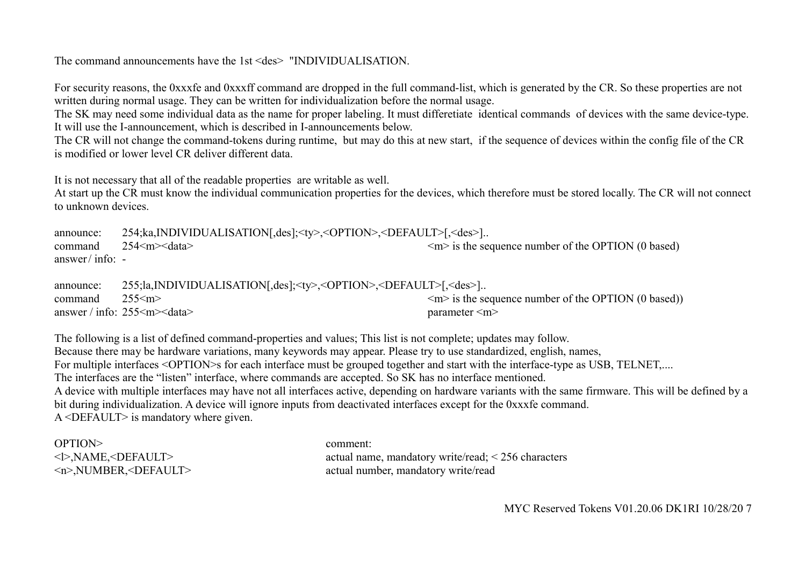## The command announcements have the 1st <des> "INDIVIDUALISATION.

For security reasons, the 0xxxfe and 0xxxff command are dropped in the full command-list, which is generated by the CR. So these properties are not written during normal usage. They can be written for individualization before the normal usage.

The SK may need some individual data as the name for proper labeling. It must differetiate identical commands of devices with the same device-type. It will use the I-announcement, which is described in I-announcements below.

The CR will not change the command-tokens during runtime, but may do this at new start, if the sequence of devices within the config file of the CR is modified or lower level CR deliver different data.

It is not necessary that all of the readable properties are writable as well.

At start up the CR must know the individual communication properties for the devices, which therefore must be stored locally. The CR will not connect to unknown devices.

| announce:        | 254;ka,INDIVIDUALISATION[,des]; <ty>,<option>,<default>[,<des>]</des></default></option></ty> |                                                         |
|------------------|-----------------------------------------------------------------------------------------------|---------------------------------------------------------|
| command          | $254 \le m \le data$                                                                          | $\leq m$ is the sequence number of the OPTION (0 based) |
| answer/info: $-$ |                                                                                               |                                                         |

| announce:                   | 255;la,INDIVIDUALISATION[,des]; <ty>,<option>,<default>[,<des>]</des></default></option></ty> |                                                                     |
|-----------------------------|-----------------------------------------------------------------------------------------------|---------------------------------------------------------------------|
| $command \qquad 255\leq m>$ |                                                                                               | $\langle m \rangle$ is the sequence number of the OPTION (0 based)) |
|                             | answer / info: $255 \le m \le data$                                                           | parameter $\leq m$                                                  |

The following is a list of defined command-properties and values; This list is not complete; updates may follow. Because there may be hardware variations, many keywords may appear. Please try to use standardized, english, names, For multiple interfaces <OPTION>s for each interface must be grouped together and start with the interface-type as USB, TELNET,.... The interfaces are the "listen" interface, where commands are accepted. So SK has no interface mentioned. A device with multiple interfaces may have not all interfaces active, depending on hardware variants with the same firmware. This will be defined by a bit during individualization. A device will ignore inputs from deactivated interfaces except for the 0xxxfe command. A <DEFAULT> is mandatory where given.

OPTION> comment:

<l>,NAME,<DEFAULT> actual name, mandatory write/read; < 256 characters <n>,NUMBER,<DEFAULT> actual number, mandatory write/read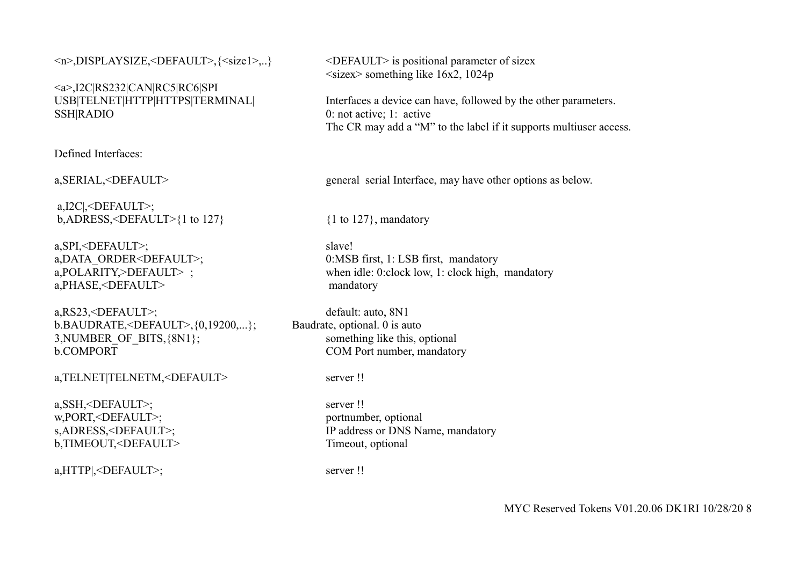<n>,DISPLAYSIZE,<DEFAULT>,{<size1>,..} <DEFAULT> is positional parameter of sizex

<a>,I2C|RS232|CAN|RC5|RC6|SPI SSH|RADIO 0: not active; 1: active

Defined Interfaces:

 a,I2C|,<DEFAULT>; b,ADRESS,<DEFAULT>{1 to 127}  $\{1 \text{ to } 127\}$ , mandatory

a,SPI,<DEFAULT>; slave! a,PHASE,<DEFAULT> mandatory

a,RS23,<DEFAULT>; default: auto, 8N1 b.BAUDRATE,<DEFAULT>,{0,19200,...}; Baudrate, optional. 0 is auto 3, NUMBER OF BITS,  $\{8N1\}$ ; something like this, optional b.COMPORT COM Port number, mandatory

a,TELNET|TELNETM,<DEFAULT>
server!!

a, SSH, <DEFAULT>; server !! w,PORT,<DEFAULT>; portnumber, optional b,TIMEOUT,<DEFAULT>
Timeout, optional

a,HTTP|,<DEFAULT>; server !!

 $\langle$ sizex> something like 16x2, 1024p

USB|TELNET|HTTP|HTTPS|TERMINAL| Interfaces a device can have, followed by the other parameters. The CR may add a "M" to the label if it supports multiuser access.

a,SERIAL,<DEFAULT> general serial Interface, may have other options as below.

a,DATA\_ORDER<DEFAULT>; 0:MSB first, 1: LSB first, mandatory a,POLARITY,>DEFAULT>; when idle: 0:clock low, 1: clock high, mandatory

s,ADRESS,<DEFAULT>; IP address or DNS Name, mandatory

MYC Reserved Tokens V01.20.06 DK1RI 10/28/20 8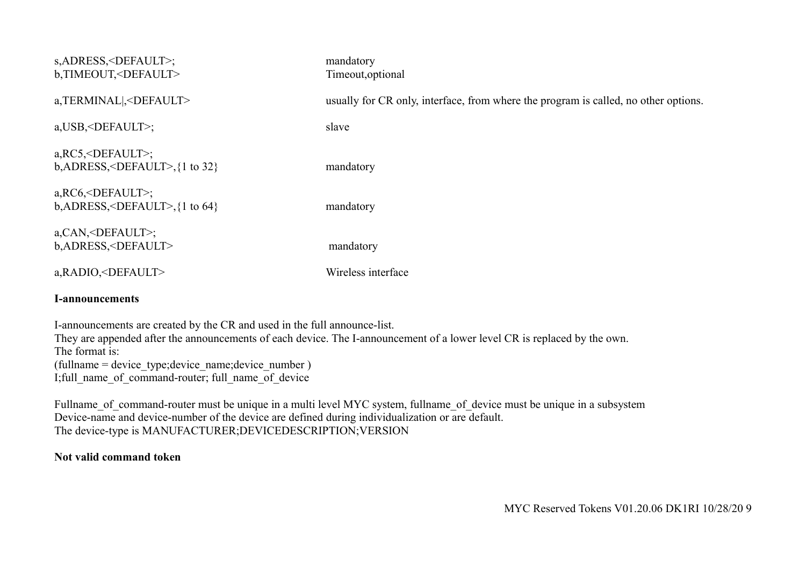| s, ADRESS, <default>;<br/>b,TIMEOUT,<default></default></default>                  | mandatory<br>Timeout, optional                                                      |
|------------------------------------------------------------------------------------|-------------------------------------------------------------------------------------|
| a,TERMINAL , <default></default>                                                   | usually for CR only, interface, from where the program is called, no other options. |
| a, USB, <default>;</default>                                                       | slave                                                                               |
| $a, RC5, $ ;<br>$b,$ ADRESS, <default>,<math>\{1 \text{ to } 32\}</math></default> | mandatory                                                                           |
| $a, RC6, ;b,ADRESS,,\{1 \text{ to } 64\}$                                          | mandatory                                                                           |
| a, CAN, <default>;<br/>b, ADRESS, <default></default></default>                    | mandatory                                                                           |
| a, RADIO, <default></default>                                                      | Wireless interface                                                                  |
| <b>I-announcements</b>                                                             |                                                                                     |
| Lannouncements are created by the CR and used in the full announce list            |                                                                                     |

I-announcements are created by the CR and used in the full announce-list. They are appended after the announcements of each device. The I-announcement of a lower level CR is replaced by the own. The format is: (fullname = device\_type;device\_name;device\_number ) I;full name of command-router; full name of device

Fullname of command-router must be unique in a multi level MYC system, fullname of device must be unique in a subsystem Device-name and device-number of the device are defined during individualization or are default. The device-type is MANUFACTURER;DEVICEDESCRIPTION;VERSION

## **Not valid command token**